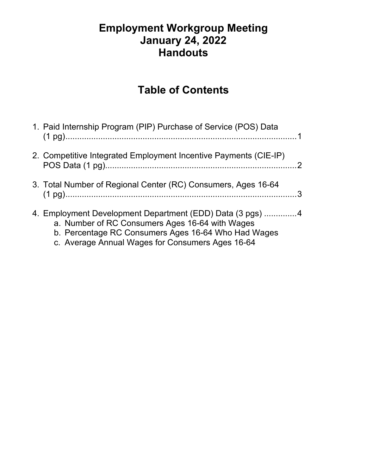#### **Employment Workgroup Meeting January 24, 2022 Handouts**

### **Table of Contents**

| 1. Paid Internship Program (PIP) Purchase of Service (POS) Data                                                                                                                                                         |
|-------------------------------------------------------------------------------------------------------------------------------------------------------------------------------------------------------------------------|
| 2. Competitive Integrated Employment Incentive Payments (CIE-IP)                                                                                                                                                        |
| 3. Total Number of Regional Center (RC) Consumers, Ages 16-64                                                                                                                                                           |
| 4. Employment Development Department (EDD) Data (3 pgs) 4<br>a. Number of RC Consumers Ages 16-64 with Wages<br>b. Percentage RC Consumers Ages 16-64 Who Had Wages<br>c. Average Annual Wages for Consumers Ages 16-64 |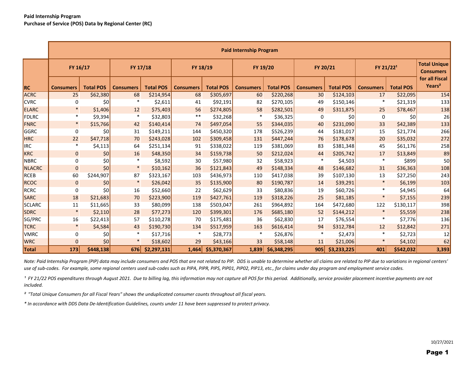|               | <b>Paid Internship Program</b> |                  |                  |                  |                  |                  |                  |                  |                  |                  |                       |                  |                                         |
|---------------|--------------------------------|------------------|------------------|------------------|------------------|------------------|------------------|------------------|------------------|------------------|-----------------------|------------------|-----------------------------------------|
|               | FY 16/17                       |                  | FY 17/18         |                  | FY 18/19         |                  | FY 19/20         |                  | FY 20/21         |                  | FY 21/22 <sup>1</sup> |                  | <b>Total Unique</b><br><b>Consumers</b> |
| <b>RC</b>     | <b>Consumers</b>               | <b>Total POS</b> | <b>Consumers</b> | <b>Total POS</b> | <b>Consumers</b> | <b>Total POS</b> | <b>Consumers</b> | <b>Total POS</b> | <b>Consumers</b> | <b>Total POS</b> | <b>Consumers</b>      | <b>Total POS</b> | for all Fiscal<br>Years <sup>2</sup>    |
| <b>ACRC</b>   | 25                             | \$62,380         | 68               | \$214,954        | 68               | \$305,697        | 60               | \$220,268        | 30 <sup>°</sup>  | \$124,103        | 17                    | \$22,095         | 154                                     |
| <b>CVRC</b>   | 0                              | 50               | $\ast$           | \$2,611          | 41               | \$92,191         | 82               | \$270,105        | 49               | \$150,146        | $\ast$                | \$21,319         | 133                                     |
| <b>ELARC</b>  | $\ast$                         | \$1,406          | 12               | \$75,403         | 56               | \$274,805        | 58               | \$282,501        | 49               | \$311,875        | 25                    | \$78,467         | 138                                     |
| FDLRC         |                                | \$9,394          | $\ast$           | \$32,803         | $***$            | \$32,268         | $\ast$           | \$36,325         | $\mathbf 0$      | 50               | $\mathbf 0$           | \$0              | 26                                      |
| FNRC          | $\ast$                         | \$15,766         | 42               | \$140,414        | 74               | \$497,054]       | 55               | \$344,035        | 40               | \$231,090        | 33                    | \$42,389         | 133                                     |
| GGRC          | $\mathbf 0$                    | \$0              | 31               | \$149,211        | 144              | \$450,320        | 178              | \$526,239        | 44               | \$181,017        | 15                    | \$21,774         | 266                                     |
| <b>HRC</b>    | 22                             | \$47,718         | 70               | \$243,028        | 102              | \$309,458        | 131              | \$447,244        | 76               | \$178,678        | 20                    | \$35,032         | 272                                     |
| <b>IRC</b>    | ∗                              | \$4,113          | 64               | \$251,134        | 91               | \$338,022        | 119              | \$381,069        | 83               | \$381,348        | 45                    | \$61,176         | 258                                     |
| <b>KRC</b>    | $\overline{0}$                 | 50               | 16               | \$48,350         | 34               | \$159,738        | 50               | \$212,024        | 44               | \$205,742        | 17                    | \$13,849         | 89                                      |
| <b>NBRC</b>   | $\mathbf 0$                    | \$0              | $\ast$           | \$8,592          | 30               | \$57,980         | 32               | \$58,923         | $\ast$           | \$4,503          | $\ast$                | \$899            | 50                                      |
| <b>NLACRC</b> | $\overline{0}$                 | 50               | $\ast$           | \$10,162         | 36               | \$121,843        | 49               | \$148,334        | 48               | \$146,682        | 31                    | \$36,363         | 108                                     |
| <b>RCEB</b>   | 60                             | \$244,907        | 87               | \$323,167        | 103              | \$436,973        | 110              | \$417,038        | 39               | \$107,130        | 13                    | \$27,250         | 243                                     |
| <b>RCOC</b>   | $\overline{0}$                 | 50               | $\ast$           | \$26,042         | 35               | \$135,900        | 80               | \$190,787        | 14               | \$39,291         | $\ast$                | \$6,199          | 103                                     |
| <b>RCRC</b>   | 0                              | 50               | 16               | \$52,660         | 22               | \$62,629         | 33               | \$80,836         | 19               | \$60,726         | $\ast$                | \$4,945          | 64                                      |
| <b>SARC</b>   | 18                             | \$21,683         | 70               | \$223,900        | 119              | \$427,761        | 119              | \$318,226        | 25               | \$81,185         | $\ast$                | \$7,155          | 239                                     |
| <b>SCLARC</b> | 11                             | \$11,665         | 33               | \$80,099         | 138              | \$503,047        | 261              | \$964,892        | 164              | \$472,680        | 122                   | \$130,117        | 398                                     |
| <b>SDRC</b>   | $\ast$                         | \$2,110          | 28               | \$77,273         | 120              | \$399,301        | 176              | \$685,180        | 52               | \$144,212        |                       | \$5,559          | 238                                     |
| SG/PRC        | 16                             | \$22,413         | 57               | \$110,278        | 70               | \$175,481        | 36               | \$62,830         | 17               | \$76,554         | $\ast$                | \$7,776          | 136                                     |
| <b>TCRC</b>   | $\ast$                         | \$4,584          | 43               | \$190,730        | 134              | \$517,959        | 163              | \$616,414        | 94               | \$312,784        | 12                    | \$12,842         | 271                                     |
| <b>VMRC</b>   | $\mathbf 0$                    | 50               | $\ast$           | \$17,716         |                  | \$28,773         |                  | \$26,876         | $\ast$           | \$2,473          | $\ast$                | \$2,723          | 12                                      |
| <b>WRC</b>    | $\overline{0}$                 | 50               | $\ast$           | \$18,602         | 29               | \$43,166         | 33               | \$58,148         | 11               | \$21,006         | $\ast$                | \$4,102          | 62                                      |
| <b>Total</b>  | 173                            | \$448,138        | 676              | \$2,297,131      | 1,464            | \$5,370,367      | 1,839            | \$6,348,295      | 905              | \$3,233,225      | 401                   | \$542,032        | 3,393                                   |

*Note: Paid Internship Program (PIP) data may include consumers and POS that are not related to PIP. DDS is unable to determine whether all claims are related to PIP due to variations in regional centers' use of sub-codes. For example, some regional centers used sub-codes such as PIPA, PIPR, PIPS, PIP01, PIP02, PIP13, etc., for claims under day program and employment service codes.*

<sup>1</sup> FY 21/22 POS expenditures through August 2021. Due to billing lag, this information may not capture all POS for this period. Additionally, service provider placement incentive payments are not *included.*

*² "Total Unique Consumers for all Fiscal Years" shows the unduplicated consumer counts throughout all fiscal years.*

*\* In accordance with DDS Data De-Identification Guidelines, counts under 11 have been suppressed to protect privacy.*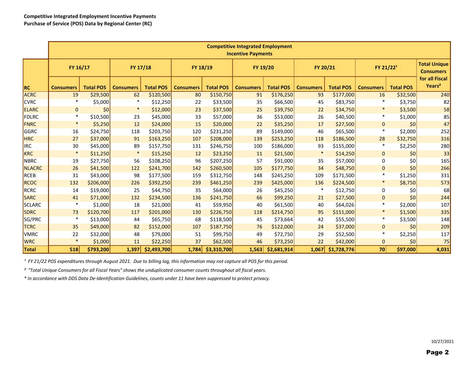|               | <b>Competitive Integrated Employment</b><br><b>Incentive Payments</b> |                  |                  |                  |                  |                  |                  |                  |                  |                  |                       |                  |                                         |
|---------------|-----------------------------------------------------------------------|------------------|------------------|------------------|------------------|------------------|------------------|------------------|------------------|------------------|-----------------------|------------------|-----------------------------------------|
|               | FY 16/17                                                              |                  | FY 17/18         |                  | FY 18/19         |                  | FY 19/20         |                  | FY 20/21         |                  | FY 21/22 <sup>1</sup> |                  | <b>Total Unique</b><br><b>Consumers</b> |
| RC            | <b>Consumers</b>                                                      | <b>Total POS</b> | <b>Consumers</b> | <b>Total POS</b> | <b>Consumers</b> | <b>Total POS</b> | <b>Consumers</b> | <b>Total POS</b> | <b>Consumers</b> | <b>Total POS</b> | <b>Consumers</b>      | <b>Total POS</b> | for all Fiscal<br>Years <sup>2</sup>    |
| <b>ACRC</b>   | 19                                                                    | \$29,500         | 62               | \$120,500        | 80               | \$150,750        | 91               | \$176,250        | 93               | \$177,000        | 16                    | \$32,500         | 240                                     |
| <b>CVRC</b>   | $\ast$                                                                | \$5,000          | $\ast$           | \$12,250         | 22               | \$33,500         | 35               | \$66,500         | 45               | \$83,750         |                       | \$3,750          | 82                                      |
| ELARC         | $\overline{0}$                                                        | 50               | $\ast$           | \$12,000         | 23               | \$37,500         | 25               | \$39,750         | 22               | \$34,750         |                       | \$3,500          | 58                                      |
| FDLRC         | $\ast$                                                                | \$10,500         | 23               | \$45,000         | 33               | \$57,000         | 36               | \$53,000         | 26               | \$40,500         | $\ast$                | \$1,000          | 85                                      |
| FNRC          | $\ast$                                                                | \$5,250          | 12               | \$24,000         | 15               | \$20,000         | 22               | \$35,250         | 17               | \$27,500         | $\overline{0}$        | 50               | 47                                      |
| GGRC          | 16                                                                    | \$24,750         | 118              | \$203,750        | 120              | \$231,250        | 89               | \$149,000        | 46               | \$65,500         | $\ast$                | \$2,000          | 252                                     |
| <b>HRC</b>    | 27                                                                    | \$37,000         | 91               | \$163,250        | 107              | \$208,000        | 139              | \$253,250        | 118              | \$186,500        | 28                    | \$32,750         | 316                                     |
| <b>IRC</b>    | 30                                                                    | \$45,000         | 89               | \$157,750        | 131              | \$246,750        | 100              | \$186,000        | 93               | \$155,000        |                       | \$2,250          | 280                                     |
| <b>KRC</b>    | $\ast$                                                                | \$11,250         | $\ast$           | \$15,250         | 12               | \$23,250         | 11               | \$21,500         | $\ast$           | \$14,250         | $\overline{0}$        | 50               | 33                                      |
| <b>NBRC</b>   | 19                                                                    | \$27,750         | 56               | \$108,250        | 96               | \$207,250        | 57               | \$91,000         | 35               | \$57,000         | 0                     | 50               | 165                                     |
| <b>NLACRC</b> | 26                                                                    | \$41,500         | 122              | \$241,700        | 142              | \$260,500        | 105              | \$177,750        | 34               | \$48,750         | $\overline{0}$        | 50               | 266                                     |
| <b>RCEB</b>   | 31                                                                    | \$43,000         | 98               | \$177,500        | 159              | \$312,750        | 148              | \$245,250        | 109              | \$171,500        | $\ast$                | \$1,250          | 331                                     |
| RCOC          | 132                                                                   | \$206,000        | 226              | \$392,250        | 239              | \$461,250        | 239              | \$425,000        | 136              | \$224,500        |                       | \$8,750          | 573                                     |
| RCRC          | 14                                                                    | \$19,000         | 25               | \$44,750         | 35               | \$64,000         | 26               | \$45,250         | $\ast$           | \$12,750         | 0                     | 50               | 68                                      |
| <b>SARC</b>   | 41                                                                    | \$71,000         | 132              | \$234,500        | 136              | \$241,750        | 66               | \$99,250         | 21               | \$27,500         | $\overline{0}$        | 50               | 244                                     |
| <b>SCLARC</b> | $\ast$                                                                | \$1,000          | 18               | \$21,000         | 41               | \$59,950         | 40               | \$61,500         | 40               | \$64,026         |                       | \$2,000          | 107                                     |
| <b>SDRC</b>   | 73                                                                    | \$120,700        | 117              | \$201,000        | 130              | \$226,750        | 118              | \$214,750        | 95               | \$151,000        | $\ast$                | \$1,500          | 335                                     |
| SG/PRC        | $\ast$                                                                | \$13,000         | 44               | \$65,750         | 68               | \$118,500        | 45               | \$73,664         | 42               | \$55,500         | *                     | \$3,500          | 148                                     |
| <b>TCRC</b>   | 35                                                                    | \$49,000         | 82               | \$152,000        | 107              | \$187,750        | 76               | \$122,000        | 24               | \$37,000         | $\overline{0}$        | 50               | 209                                     |
| <b>VMRC</b>   | 22                                                                    | \$32,000         | 48               | \$79,000         | 51               | \$99,750         | 49               | \$72,750         | 29               | \$52,500         | *                     | \$2,250          | 117                                     |
| <b>WRC</b>    | $\ast$                                                                | \$1,000          | 11               | \$22,250         | 37               | \$62,500         | 46               | \$73,250         | 22               | \$42,000         | $\overline{O}$        | 50               | 75                                      |
| <b>Total</b>  | 518                                                                   | \$793,200        | 1,397            | \$2,493,700      | 1,784            | \$3,310,700      | 1,563            | \$2,681,914      | 1,067            | \$1,728,776      | 70 <sup>1</sup>       | \$97,000         | 4,031                                   |

*¹ FY 21/22 POS expenditures through August 2021. Due to billing lag, this information may not capture all POS for this period.*

*² "Total Unique Consumers for all Fiscal Years" shows the unduplicated consumer counts throughout all fiscal years.*

*\* In accordance with DDS Data De-Identification Guidelines, counts under 11 have been suppressed to protect privacy.*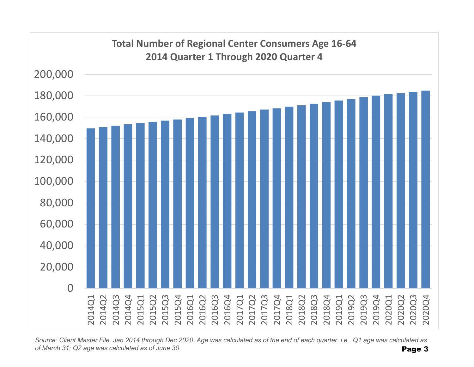

*Source: Client Master File, Jan 2014 through Dec 2020. Age was calculated as of the end of each quarter. i.e., Q1 age was calculated as of March 31; Q2 age was calculated as of June 30.* Page 3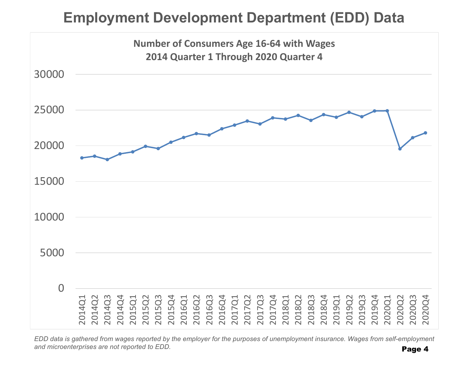# **Employment Development Department (EDD) Data**



*EDD data is gathered from wages reported by the employer for the purposes of unemployment insurance. Wages from self-employment and microenterprises are not reported to EDD.*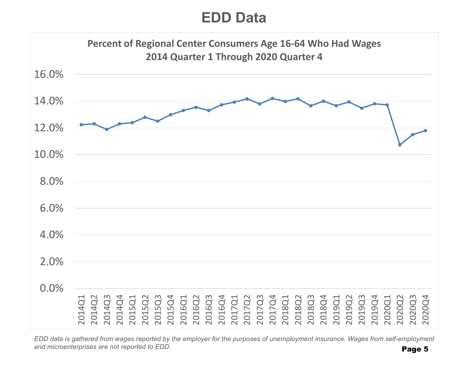## **EDD Data**



*EDD data is gathered from wages reported by the employer for the purposes of unemployment insurance. Wages from self-employment and microenterprises are not reported to EDD.*